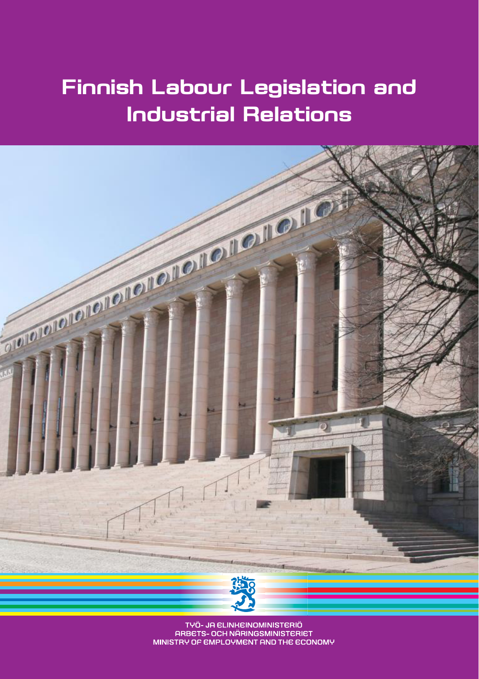## **Finnish Labour Legislation and Industrial Relations**



TYÖ- JA ELINKEINOMINISTERIÖ ARBETS- OCH NÄRINGSMINISTERIET MINISTRY OF EMPLOYMENT AND THE ECONOMY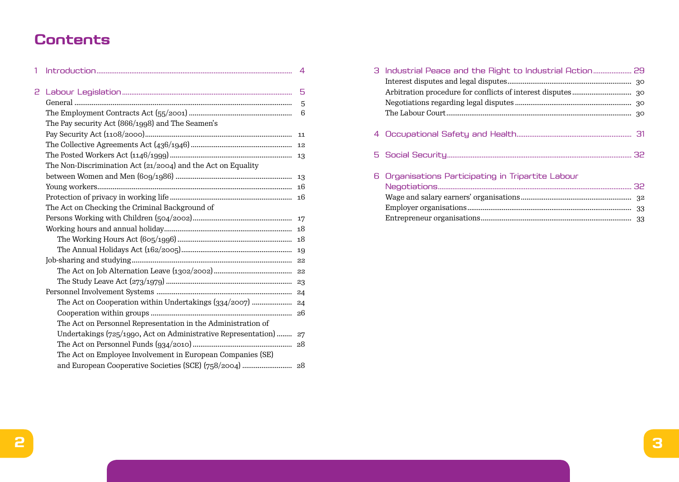## **Contents**

| 1 |                                                                   | 4 |
|---|-------------------------------------------------------------------|---|
| 2 |                                                                   | 5 |
|   |                                                                   | 5 |
|   |                                                                   | 6 |
|   | The Pay security Act (866/1998) and The Seamen's                  |   |
|   |                                                                   |   |
|   |                                                                   |   |
|   |                                                                   |   |
|   | The Non-Discrimination Act (21/2004) and the Act on Equality      |   |
|   |                                                                   |   |
|   |                                                                   |   |
|   |                                                                   |   |
|   | The Act on Checking the Criminal Background of                    |   |
|   |                                                                   |   |
|   |                                                                   |   |
|   |                                                                   |   |
|   |                                                                   |   |
|   |                                                                   |   |
|   |                                                                   |   |
|   |                                                                   |   |
|   |                                                                   |   |
|   |                                                                   |   |
|   |                                                                   |   |
|   | The Act on Personnel Representation in the Administration of      |   |
|   | Undertakings (725/1990, Act on Administrative Representation)  27 |   |
|   |                                                                   |   |
|   | The Act on Employee Involvement in European Companies (SE)        |   |
|   |                                                                   |   |

| 6 Organisations Participating in Tripartite Labour |  |
|----------------------------------------------------|--|
|                                                    |  |
|                                                    |  |
|                                                    |  |
|                                                    |  |
|                                                    |  |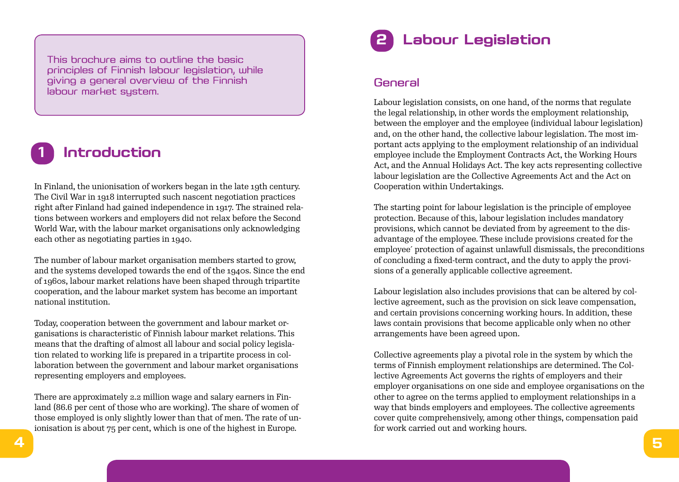This brochure aims to outline the basic principles of Finnish labour legislation, while giving a general overview of the Finnish labour market system.

# **1 Introduction**

In Finland, the unionisation of workers began in the late 19th century. The Civil War in 1918 interrupted such nascent negotiation practices right after Finland had gained independence in 1917. The strained relations between workers and employers did not relax before the Second World War, with the labour market organisations only acknowledging each other as negotiating parties in 1940.

The number of labour market organisation members started to grow, and the systems developed towards the end of the 1940s. Since the end of 1960s, labour market relations have been shaped through tripartite cooperation, and the labour market system has become an important national institution.

Today, cooperation between the government and labour market organisations is characteristic of Finnish labour market relations. This means that the drafting of almost all labour and social policy legislation related to working life is prepared in a tripartite process in collaboration between the government and labour market organisations representing employers and employees.

There are approximately 2.2 million wage and salary earners in Finland (86.6 per cent of those who are working). The share of women of those employed is only slightly lower than that of men. The rate of unionisation is about 75 per cent, which is one of the highest in Europe.



#### General

Labour legislation consists, on one hand, of the norms that regulate the legal relationship, in other words the employment relationship, between the employer and the employee (individual labour legislation) and, on the other hand, the collective labour legislation. The most important acts applying to the employment relationship of an individual employee include the Employment Contracts Act, the Working Hours Act, and the Annual Holidays Act. The key acts representing collective labour legislation are the Collective Agreements Act and the Act on Cooperation within Undertakings.

The starting point for labour legislation is the principle of employee protection. Because of this, labour legislation includes mandatory provisions, which cannot be deviated from by agreement to the disadvantage of the employee. These include provisions created for the employee´ protection of against unlawfull dismissals, the preconditions of concluding a fixed-term contract, and the duty to apply the provisions of a generally applicable collective agreement.

Labour legislation also includes provisions that can be altered by collective agreement, such as the provision on sick leave compensation, and certain provisions concerning working hours. In addition, these laws contain provisions that become applicable only when no other arrangements have been agreed upon.

Collective agreements play a pivotal role in the system by which the terms of Finnish employment relationships are determined. The Collective Agreements Act governs the rights of employers and their employer organisations on one side and employee organisations on the other to agree on the terms applied to employment relationships in a way that binds employers and employees. The collective agreements cover quite comprehensively, among other things, compensation paid for work carried out and working hours.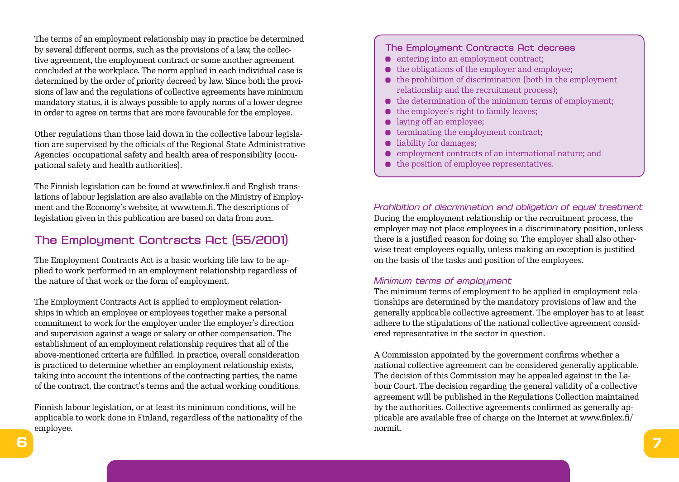The terms of an employment relationship may in practice be determined by several different norms, such as the provisions of a law, the collective agreement, the employment contract or some another agreement concluded at the workplace. The norm applied in each individual case is determined by the order of priority decreed by law. Since both the provisions of law and the regulations of collective agreements have minimum mandatory status, it is always possible to apply norms of a lower degree in order to agree on terms that are more favourable for the employee.

Other regulations than those laid down in the collective labour legislation are supervised by the officials of the Regional State Administrative Agencies' occupational safety and health area of responsibility (occupational safety and health authorities).

The Finnish legislation can be found at www.finlex.fi and English translations of labour legislation are also available on the Ministry of Employment and the Economy's website, at www.tem.fi. The descriptions of legislation given in this publication are based on data from 2011.

## The Employment Contracts Act (55/2001)

The Employment Contracts Act is a basic working life law to be applied to work performed in an employment relationship regardless of the nature of that work or the form of employment.

The Employment Contracts Act is applied to employment relationships in which an employee or employees together make a personal commitment to work for the employer under the employer's direction and supervision against a wage or salary or other compensation. The establishment of an employment relationship requires that all of the above-mentioned criteria are fulfilled. In practice, overall consideration is practiced to determine whether an employment relationship exists, taking into account the intentions of the contracting parties, the name of the contract, the contract's terms and the actual working conditions.

Finnish labour legislation, or at least its minimum conditions, will be applicable to work done in Finland, regardless of the nationality of the employee.

#### The Employment Contracts Act decrees

- **e** entering into an employment contract;
- $\bullet$  the obligations of the employer and employee;
- $\bullet$  the prohibition of discrimination (both in the employment relationship and the recruitment process);
- $\bullet$  the determination of the minimum terms of employment;
- $\bullet$  the employee's right to family leaves;
- **laying off an employee;**
- $\bullet$  terminating the employment contract;
- **liability for damages;**
- employment contracts of an international nature; and
- $\bullet$  the position of employee representatives.

*Prohibition of discrimination and obligation of equal treatment* During the employment relationship or the recruitment process, the employer may not place employees in a discriminatory position, unless there is a justified reason for doing so. The employer shall also otherwise treat employees equally, unless making an exception is justified on the basis of the tasks and position of the employees.

#### *Minimum terms of employment*

The minimum terms of employment to be applied in employment relationships are determined by the mandatory provisions of law and the generally applicable collective agreement. The employer has to at least adhere to the stipulations of the national collective agreement considered representative in the sector in question.

A Commission appointed by the government confirms whether a national collective agreement can be considered generally applicable. The decision of this Commission may be appealed against in the Labour Court. The decision regarding the general validity of a collective agreement will be published in the Regulations Collection maintained by the authorities. Collective agreements confirmed as generally applicable are available free of charge on the Internet at www.finlex.fi/ normit.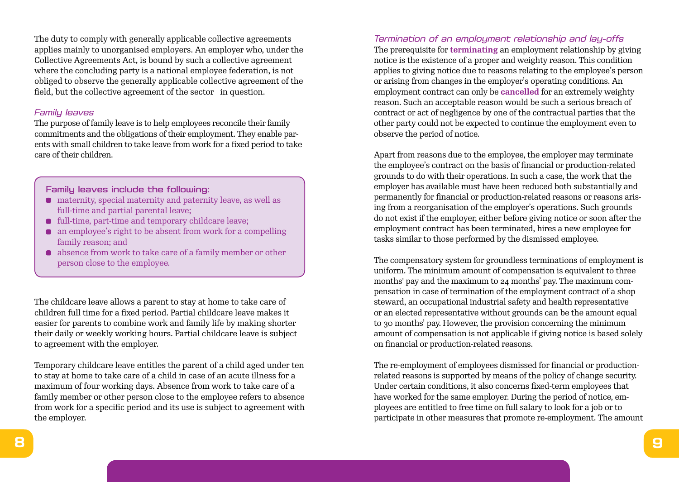The duty to comply with generally applicable collective agreements applies mainly to unorganised employers. An employer who, under the Collective Agreements Act, is bound by such a collective agreement where the concluding party is a national employee federation, is not obliged to observe the generally applicable collective agreement of the field, but the collective agreement of the sector in question.

#### *Family leaves*

The purpose of family leave is to help employees reconcile their family commitments and the obligations of their employment. They enable parents with small children to take leave from work for a fixed period to take care of their children.

#### Family leaves include the following:

- maternity, special maternity and paternity leave, as well as full-time and partial parental leave;
- $\bullet$  full-time, part-time and temporary childcare leave;
- an employee's right to be absent from work for a compelling family reason; and
- absence from work to take care of a family member or other person close to the employee.

The childcare leave allows a parent to stay at home to take care of children full time for a fixed period. Partial childcare leave makes it easier for parents to combine work and family life by making shorter their daily or weekly working hours. Partial childcare leave is subject to agreement with the employer.

Temporary childcare leave entitles the parent of a child aged under ten to stay at home to take care of a child in case of an acute illness for a maximum of four working days. Absence from work to take care of a family member or other person close to the employee refers to absence from work for a specific period and its use is subject to agreement with the employer.

*Termination of an employment relationship and lay-offs* The prerequisite for **terminating** an employment relationship by giving notice is the existence of a proper and weighty reason. This condition applies to giving notice due to reasons relating to the employee's person or arising from changes in the employer's operating conditions. An employment contract can only be **cancelled** for an extremely weighty reason. Such an acceptable reason would be such a serious breach of contract or act of negligence by one of the contractual parties that the other party could not be expected to continue the employment even to observe the period of notice.

Apart from reasons due to the employee, the employer may terminate the employee's contract on the basis of financial or production-related grounds to do with their operations. In such a case, the work that the employer has available must have been reduced both substantially and permanently for financial or production-related reasons or reasons arising from a reorganisation of the employer's operations. Such grounds do not exist if the employer, either before giving notice or soon after the employment contract has been terminated, hires a new employee for tasks similar to those performed by the dismissed employee.

The compensatory system for groundless terminations of employment is uniform. The minimum amount of compensation is equivalent to three months' pay and the maximum to 24 months' pay. The maximum compensation in case of termination of the employment contract of a shop steward, an occupational industrial safety and health representative or an elected representative without grounds can be the amount equal to 30 months' pay. However, the provision concerning the minimum amount of compensation is not applicable if giving notice is based solely on financial or production-related reasons.

The re-employment of employees dismissed for financial or productionrelated reasons is supported by means of the policy of change security. Under certain conditions, it also concerns fixed-term employees that have worked for the same employer. During the period of notice, employees are entitled to free time on full salary to look for a job or to participate in other measures that promote re-employment. The amount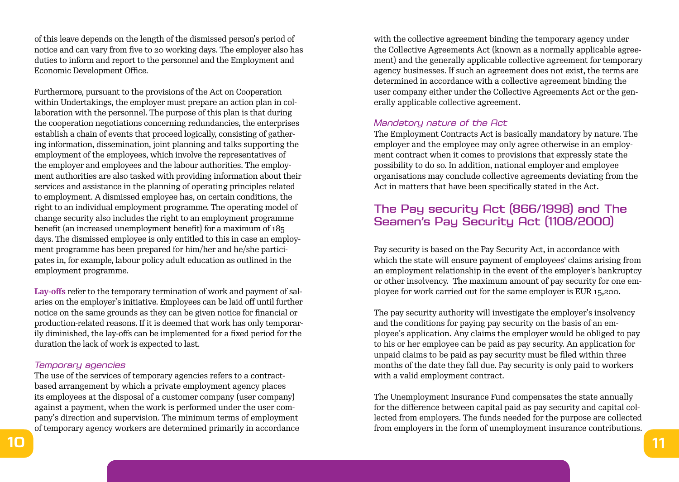of this leave depends on the length of the dismissed person's period of notice and can vary from five to 20 working days. The employer also has duties to inform and report to the personnel and the Employment and Economic Development Office.

Furthermore, pursuant to the provisions of the Act on Cooperation within Undertakings, the employer must prepare an action plan in collaboration with the personnel. The purpose of this plan is that during the cooperation negotiations concerning redundancies, the enterprises establish a chain of events that proceed logically, consisting of gathering information, dissemination, joint planning and talks supporting the employment of the employees, which involve the representatives of the employer and employees and the labour authorities. The employment authorities are also tasked with providing information about their services and assistance in the planning of operating principles related to employment. A dismissed employee has, on certain conditions, the right to an individual employment programme. The operating model of change security also includes the right to an employment programme benefit (an increased unemployment benefit) for a maximum of 185 days. The dismissed employee is only entitled to this in case an employment programme has been prepared for him/her and he/she participates in, for example, labour policy adult education as outlined in the employment programme.

**Lay-offs** refer to the temporary termination of work and payment of salaries on the employer's initiative. Employees can be laid off until further notice on the same grounds as they can be given notice for financial or production-related reasons. If it is deemed that work has only temporarily diminished, the lay-offs can be implemented for a fixed period for the duration the lack of work is expected to last.

#### *Temporary agencies*

The use of the services of temporary agencies refers to a contractbased arrangement by which a private employment agency places its employees at the disposal of a customer company (user company) against a payment, when the work is performed under the user company's direction and supervision. The minimum terms of employment of temporary agency workers are determined primarily in accordance with the collective agreement binding the temporary agency under the Collective Agreements Act (known as a normally applicable agreement) and the generally applicable collective agreement for temporary agency businesses. If such an agreement does not exist, the terms are determined in accordance with a collective agreement binding the user company either under the Collective Agreements Act or the generally applicable collective agreement.

#### *Mandatory nature of the Act*

The Employment Contracts Act is basically mandatory by nature. The employer and the employee may only agree otherwise in an employment contract when it comes to provisions that expressly state the possibility to do so. In addition, national employer and employee organisations may conclude collective agreements deviating from the Act in matters that have been specifically stated in the Act.

## The Pay security Act (866/1998) and The Seamen's Pay Security Act (1108/2000)

Pay security is based on the Pay Security Act, in accordance with which the state will ensure payment of employees' claims arising from an employment relationship in the event of the employer's bankruptcy or other insolvency. The maximum amount of pay security for one employee for work carried out for the same employer is EUR 15,200.

The pay security authority will investigate the employer's insolvency and the conditions for paying pay security on the basis of an employee's application. Any claims the employer would be obliged to pay to his or her employee can be paid as pay security. An application for unpaid claims to be paid as pay security must be filed within three months of the date they fall due. Pay security is only paid to workers with a valid employment contract.

The Unemployment Insurance Fund compensates the state annually for the difference between capital paid as pay security and capital collected from employers. The funds needed for the purpose are collected from employers in the form of unemployment insurance contributions.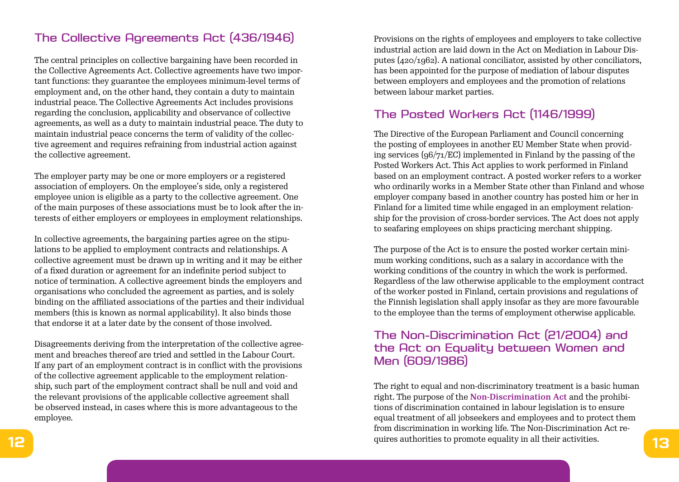## The Collective Agreements Act (436/1946)

The central principles on collective bargaining have been recorded in the Collective Agreements Act. Collective agreements have two important functions: they guarantee the employees minimum-level terms of employment and, on the other hand, they contain a duty to maintain industrial peace. The Collective Agreements Act includes provisions regarding the conclusion, applicability and observance of collective agreements, as well as a duty to maintain industrial peace. The duty to maintain industrial peace concerns the term of validity of the collective agreement and requires refraining from industrial action against the collective agreement.

The employer party may be one or more employers or a registered association of employers. On the employee's side, only a registered employee union is eligible as a party to the collective agreement. One of the main purposes of these associations must be to look after the interests of either employers or employees in employment relationships.

In collective agreements, the bargaining parties agree on the stipulations to be applied to employment contracts and relationships. A collective agreement must be drawn up in writing and it may be either of a fixed duration or agreement for an indefinite period subject to notice of termination. A collective agreement binds the employers and organisations who concluded the agreement as parties, and is solely binding on the affiliated associations of the parties and their individual members (this is known as normal applicability). It also binds those that endorse it at a later date by the consent of those involved.

Disagreements deriving from the interpretation of the collective agreement and breaches thereof are tried and settled in the Labour Court. If any part of an employment contract is in conflict with the provisions of the collective agreement applicable to the employment relationship, such part of the employment contract shall be null and void and the relevant provisions of the applicable collective agreement shall be observed instead, in cases where this is more advantageous to the employee.

Provisions on the rights of employees and employers to take collective industrial action are laid down in the Act on Mediation in Labour Disputes (420/1962). A national conciliator, assisted by other conciliators, has been appointed for the purpose of mediation of labour disputes between employers and employees and the promotion of relations between labour market parties.

## The Posted Workers Act (1146/1999)

The Directive of the European Parliament and Council concerning the posting of employees in another EU Member State when providing services (96/71/EC) implemented in Finland by the passing of the Posted Workers Act. This Act applies to work performed in Finland based on an employment contract. A posted worker refers to a worker who ordinarily works in a Member State other than Finland and whose employer company based in another country has posted him or her in Finland for a limited time while engaged in an employment relationship for the provision of cross-border services. The Act does not apply to seafaring employees on ships practicing merchant shipping.

The purpose of the Act is to ensure the posted worker certain minimum working conditions, such as a salary in accordance with the working conditions of the country in which the work is performed. Regardless of the law otherwise applicable to the employment contract of the worker posted in Finland, certain provisions and regulations of the Finnish legislation shall apply insofar as they are more favourable to the employee than the terms of employment otherwise applicable.

## The Non-Discrimination Act (21/2004) and the Act on Equality between Women and Men (609/1986)

**12 13** quires authorities to promote equality in all their activities. The right to equal and non-discriminatory treatment is a basic human right. The purpose of the **Non-Discrimination Act** and the prohibitions of discrimination contained in labour legislation is to ensure equal treatment of all jobseekers and employees and to protect them from discrimination in working life. The Non-Discrimination Act re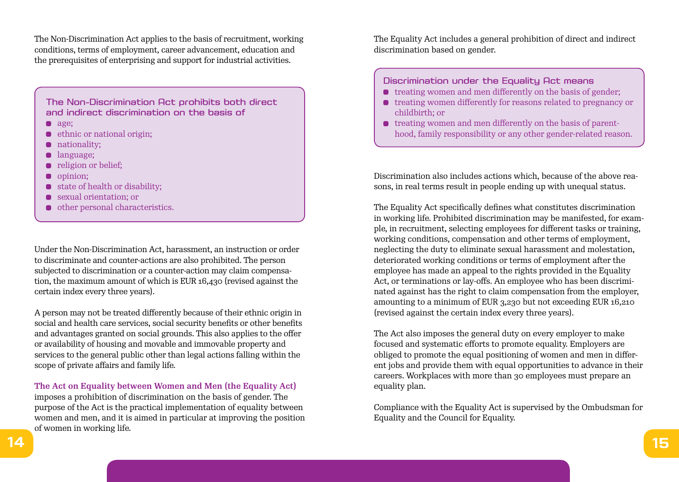The Non-Discrimination Act applies to the basis of recruitment, working conditions, terms of employment, career advancement, education and the prerequisites of enterprising and support for industrial activities.

The Non-Discrimination Act prohibits both direct and indirect discrimination on the basis of

- age:
- ethnic or national origin;  $\blacksquare$
- **nationality:**
- language;  $\bullet$
- religion or belief;  $\bullet$
- **o** opinion:
- state of health or disability;  $\bullet$
- sexual orientation; or
- other personal characteristics.

Under the Non-Discrimination Act, harassment, an instruction or order to discriminate and counter-actions are also prohibited. The person subjected to discrimination or a counter-action may claim compensation, the maximum amount of which is EUR 16,430 (revised against the certain index every three years).

A person may not be treated differently because of their ethnic origin in social and health care services, social security benefits or other benefits and advantages granted on social grounds. This also applies to the offer or availability of housing and movable and immovable property and services to the general public other than legal actions falling within the scope of private affairs and family life.

**The Act on Equality between Women and Men (the Equality Act)**  imposes a prohibition of discrimination on the basis of gender. The purpose of the Act is the practical implementation of equality between women and men, and it is aimed in particular at improving the position of women in working life.

The Equality Act includes a general prohibition of direct and indirect discrimination based on gender.

#### Discrimination under the Equality Act means

- $\bullet$  treating women and men differently on the basis of gender;
- **•** treating women differently for reasons related to pregnancy or childbirth; or
- $\bullet$  treating women and men differently on the basis of parenthood, family responsibility or any other gender-related reason.

Discrimination also includes actions which, because of the above reasons, in real terms result in people ending up with unequal status.

The Equality Act specifically defines what constitutes discrimination in working life. Prohibited discrimination may be manifested, for example, in recruitment, selecting employees for different tasks or training, working conditions, compensation and other terms of employment, neglecting the duty to eliminate sexual harassment and molestation, deteriorated working conditions or terms of employment after the employee has made an appeal to the rights provided in the Equality Act, or terminations or lay-offs. An employee who has been discriminated against has the right to claim compensation from the employer, amounting to a minimum of EUR 3,230 but not exceeding EUR 16,210 (revised against the certain index every three years).

The Act also imposes the general duty on every employer to make focused and systematic efforts to promote equality. Employers are obliged to promote the equal positioning of women and men in different jobs and provide them with equal opportunities to advance in their careers. Workplaces with more than 30 employees must prepare an equality plan.

Compliance with the Equality Act is supervised by the Ombudsman for Equality and the Council for Equality.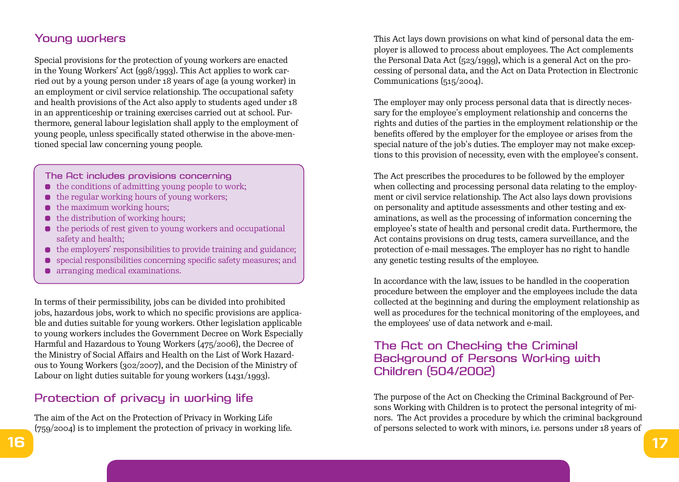## Young workers

Special provisions for the protection of young workers are enacted in the Young Workers' Act (998/1993). This Act applies to work carried out by a young person under 18 years of age (a young worker) in an employment or civil service relationship. The occupational safety and health provisions of the Act also apply to students aged under 18 in an apprenticeship or training exercises carried out at school. Furthermore, general labour legislation shall apply to the employment of young people, unless specifically stated otherwise in the above-mentioned special law concerning young people.

#### The Act includes provisions concerning

- $\bullet$  the conditions of admitting young people to work;
- $\bullet$  the regular working hours of young workers:
- $\bullet$  the maximum working hours;
- $\bullet$  the distribution of working hours;
- $\bullet$  the periods of rest given to young workers and occupational safety and health;
- $\bullet$  the employers' responsibilities to provide training and guidance;
- special responsibilities concerning specific safety measures; and
- arranging medical examinations.

In terms of their permissibility, jobs can be divided into prohibited jobs, hazardous jobs, work to which no specific provisions are applicable and duties suitable for young workers. Other legislation applicable to young workers includes the Government Decree on Work Especially Harmful and Hazardous to Young Workers (475/2006), the Decree of the Ministry of Social Affairs and Health on the List of Work Hazardous to Young Workers (302/2007), and the Decision of the Ministry of Labour on light duties suitable for young workers (1431/1993).

### Protection of privacy in working life

The aim of the Act on the Protection of Privacy in Working Life (759/2004) is to implement the protection of privacy in working life. This Act lays down provisions on what kind of personal data the employer is allowed to process about employees. The Act complements the Personal Data Act (523/1999), which is a general Act on the processing of personal data, and the Act on Data Protection in Electronic Communications (515/2004).

The employer may only process personal data that is directly necessary for the employee's employment relationship and concerns the rights and duties of the parties in the employment relationship or the benefits offered by the employer for the employee or arises from the special nature of the job's duties. The employer may not make exceptions to this provision of necessity, even with the employee's consent.

The Act prescribes the procedures to be followed by the employer when collecting and processing personal data relating to the employment or civil service relationship. The Act also lays down provisions on personality and aptitude assessments and other testing and examinations, as well as the processing of information concerning the employee's state of health and personal credit data. Furthermore, the Act contains provisions on drug tests, camera surveillance, and the protection of e-mail messages. The employer has no right to handle any genetic testing results of the employee.

In accordance with the law, issues to be handled in the cooperation procedure between the employer and the employees include the data collected at the beginning and during the employment relationship as well as procedures for the technical monitoring of the employees, and the employees' use of data network and e-mail.

## The Act on Checking the Criminal Background of Persons Working with Children (504/2002)

The purpose of the Act on Checking the Criminal Background of Persons Working with Children is to protect the personal integrity of minors. The Act provides a procedure by which the criminal background of persons selected to work with minors, i.e. persons under 18 years of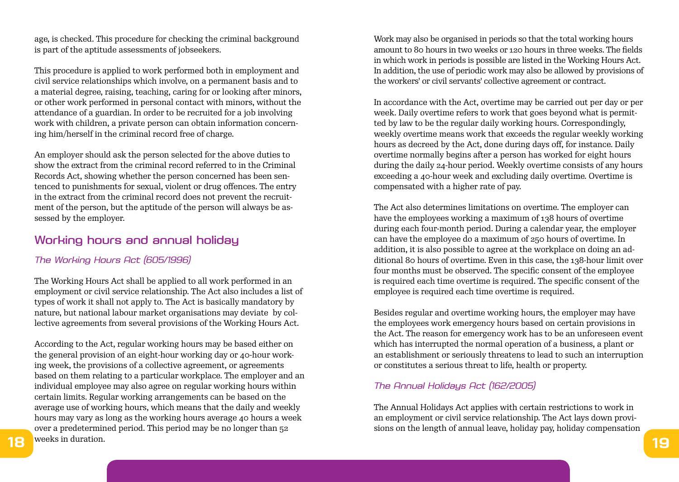age, is checked. This procedure for checking the criminal background is part of the aptitude assessments of jobseekers.

This procedure is applied to work performed both in employment and civil service relationships which involve, on a permanent basis and to a material degree, raising, teaching, caring for or looking after minors, or other work performed in personal contact with minors, without the attendance of a guardian. In order to be recruited for a job involving work with children, a private person can obtain information concerning him/herself in the criminal record free of charge.

An employer should ask the person selected for the above duties to show the extract from the criminal record referred to in the Criminal Records Act, showing whether the person concerned has been sentenced to punishments for sexual, violent or drug offences. The entry in the extract from the criminal record does not prevent the recruitment of the person, but the aptitude of the person will always be assessed by the employer.

### Working hours and annual holiday

#### *The Working Hours Act (605/1996)*

The Working Hours Act shall be applied to all work performed in an employment or civil service relationship. The Act also includes a list of types of work it shall not apply to. The Act is basically mandatory by nature, but national labour market organisations may deviate by collective agreements from several provisions of the Working Hours Act.

**18** *l**weeks* **in duration. <b>19** According to the Act, regular working hours may be based either on the general provision of an eight-hour working day or 40-hour working week, the provisions of a collective agreement, or agreements based on them relating to a particular workplace. The employer and an individual employee may also agree on regular working hours within certain limits. Regular working arrangements can be based on the average use of working hours, which means that the daily and weekly hours may vary as long as the working hours average 40 hours a week over a predetermined period. This period may be no longer than 52 weeks in duration.

Work may also be organised in periods so that the total working hours amount to 80 hours in two weeks or 120 hours in three weeks. The fields in which work in periods is possible are listed in the Working Hours Act. In addition, the use of periodic work may also be allowed by provisions of the workers' or civil servants' collective agreement or contract.

In accordance with the Act, overtime may be carried out per day or per week. Daily overtime refers to work that goes beyond what is permitted by law to be the regular daily working hours. Correspondingly, weekly overtime means work that exceeds the regular weekly working hours as decreed by the Act, done during days off, for instance. Daily overtime normally begins after a person has worked for eight hours during the daily 24-hour period. Weekly overtime consists of any hours exceeding a 40-hour week and excluding daily overtime. Overtime is compensated with a higher rate of pay.

The Act also determines limitations on overtime. The employer can have the employees working a maximum of 138 hours of overtime during each four-month period. During a calendar year, the employer can have the employee do a maximum of 250 hours of overtime. In addition, it is also possible to agree at the workplace on doing an additional 80 hours of overtime. Even in this case, the 138-hour limit over four months must be observed. The specific consent of the employee is required each time overtime is required. The specific consent of the employee is required each time overtime is required.

Besides regular and overtime working hours, the employer may have the employees work emergency hours based on certain provisions in the Act. The reason for emergency work has to be an unforeseen event which has interrupted the normal operation of a business, a plant or an establishment or seriously threatens to lead to such an interruption or constitutes a serious threat to life, health or property.

#### *The Annual Holidays Act (162/2005)*

The Annual Holidays Act applies with certain restrictions to work in an employment or civil service relationship. The Act lays down provisions on the length of annual leave, holiday pay, holiday compensation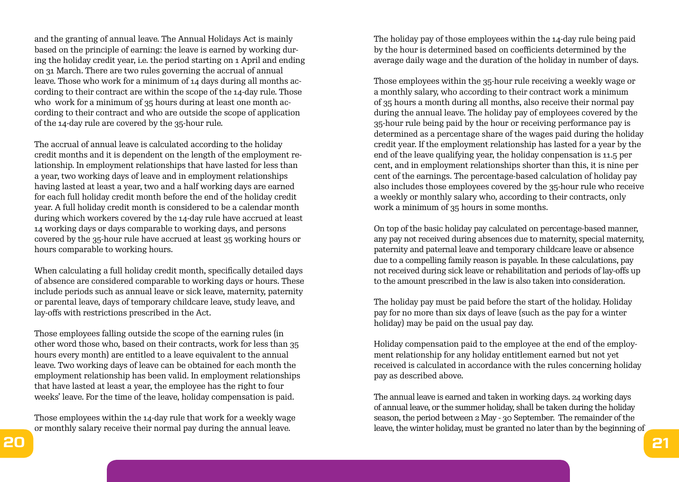and the granting of annual leave. The Annual Holidays Act is mainly based on the principle of earning: the leave is earned by working during the holiday credit year, i.e. the period starting on 1 April and ending on 31 March. There are two rules governing the accrual of annual leave. Those who work for a minimum of 14 days during all months according to their contract are within the scope of the 14-day rule. Those who work for a minimum of 35 hours during at least one month according to their contract and who are outside the scope of application of the 14-day rule are covered by the 35-hour rule.

The accrual of annual leave is calculated according to the holiday credit months and it is dependent on the length of the employment relationship. In employment relationships that have lasted for less than a year, two working days of leave and in employment relationships having lasted at least a year, two and a half working days are earned for each full holiday credit month before the end of the holiday credit year. A full holiday credit month is considered to be a calendar month during which workers covered by the 14-day rule have accrued at least 14 working days or days comparable to working days, and persons covered by the 35-hour rule have accrued at least 35 working hours or hours comparable to working hours.

When calculating a full holiday credit month, specifically detailed days of absence are considered comparable to working days or hours. These include periods such as annual leave or sick leave, maternity, paternity or parental leave, days of temporary childcare leave, study leave, and lay-offs with restrictions prescribed in the Act.

Those employees falling outside the scope of the earning rules (in other word those who, based on their contracts, work for less than 35 hours every month) are entitled to a leave equivalent to the annual leave. Two working days of leave can be obtained for each month the employment relationship has been valid. In employment relationships that have lasted at least a year, the employee has the right to four weeks' leave. For the time of the leave, holiday compensation is paid.

Those employees within the 14-day rule that work for a weekly wage or monthly salary receive their normal pay during the annual leave.

The holiday pay of those employees within the 14-day rule being paid by the hour is determined based on coefficients determined by the average daily wage and the duration of the holiday in number of days.

Those employees within the 35-hour rule receiving a weekly wage or a monthly salary, who according to their contract work a minimum of 35 hours a month during all months, also receive their normal pay during the annual leave. The holiday pay of employees covered by the 35-hour rule being paid by the hour or receiving performance pay is determined as a percentage share of the wages paid during the holiday credit year. If the employment relationship has lasted for a year by the end of the leave qualifying year, the holiday conpensation is 11.5 per cent, and in employment relationships shorter than this, it is nine per cent of the earnings. The percentage-based calculation of holiday pay also includes those employees covered by the 35-hour rule who receive a weekly or monthly salary who, according to their contracts, only work a minimum of 35 hours in some months.

On top of the basic holiday pay calculated on percentage-based manner, any pay not received during absences due to maternity, special maternity, paternity and paternal leave and temporary childcare leave or absence due to a compelling family reason is payable. In these calculations, pay not received during sick leave or rehabilitation and periods of lay-offs up to the amount prescribed in the law is also taken into consideration.

The holiday pay must be paid before the start of the holiday. Holiday pay for no more than six days of leave (such as the pay for a winter holiday) may be paid on the usual pay day.

Holiday compensation paid to the employee at the end of the employment relationship for any holiday entitlement earned but not yet received is calculated in accordance with the rules concerning holiday pay as described above.

The annual leave is earned and taken in working days. 24 working days of annual leave, or the summer holiday, shall be taken during the holiday season, the period between 2 May - 30 September. The remainder of the leave, the winter holiday, must be granted no later than by the beginning of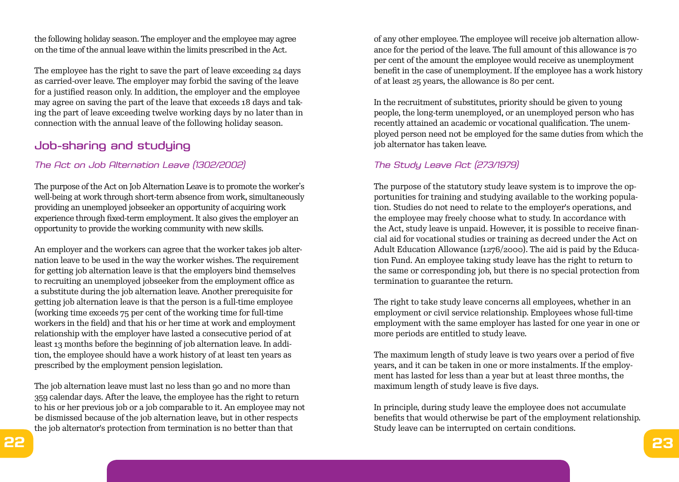the following holiday season. The employer and the employee may agree on the time of the annual leave within the limits prescribed in the Act.

The employee has the right to save the part of leave exceeding 24 days as carried-over leave. The employer may forbid the saving of the leave for a justified reason only. In addition, the employer and the employee may agree on saving the part of the leave that exceeds 18 days and taking the part of leave exceeding twelve working days by no later than in connection with the annual leave of the following holiday season.

## Job-sharing and studying

#### *The Act on Job Alternation Leave (1302/2002)*

The purpose of the Act on Job Alternation Leave is to promote the worker's well-being at work through short-term absence from work, simultaneously providing an unemployed jobseeker an opportunity of acquiring work experience through fixed-term employment. It also gives the employer an opportunity to provide the working community with new skills.

An employer and the workers can agree that the worker takes job alternation leave to be used in the way the worker wishes. The requirement for getting job alternation leave is that the employers bind themselves to recruiting an unemployed jobseeker from the employment office as a substitute during the job alternation leave. Another prerequisite for getting job alternation leave is that the person is a full-time employee (working time exceeds 75 per cent of the working time for full-time workers in the field) and that his or her time at work and employment relationship with the employer have lasted a consecutive period of at least 13 months before the beginning of job alternation leave. In addition, the employee should have a work history of at least ten years as prescribed by the employment pension legislation.

The job alternation leave must last no less than 90 and no more than 359 calendar days. After the leave, the employee has the right to return to his or her previous job or a job comparable to it. An employee may not be dismissed because of the job alternation leave, but in other respects the job alternator's protection from termination is no better than that

of any other employee. The employee will receive job alternation allowance for the period of the leave. The full amount of this allowance is 70 per cent of the amount the employee would receive as unemployment benefit in the case of unemployment. If the employee has a work history of at least 25 years, the allowance is 80 per cent.

In the recruitment of substitutes, priority should be given to young people, the long-term unemployed, or an unemployed person who has recently attained an academic or vocational qualification. The unemployed person need not be employed for the same duties from which the job alternator has taken leave.

#### *The Study Leave Act (273/1979)*

The purpose of the statutory study leave system is to improve the opportunities for training and studying available to the working population. Studies do not need to relate to the employer's operations, and the employee may freely choose what to study. In accordance with the Act, study leave is unpaid. However, it is possible to receive financial aid for vocational studies or training as decreed under the Act on Adult Education Allowance (1276/2000). The aid is paid by the Education Fund. An employee taking study leave has the right to return to the same or corresponding job, but there is no special protection from termination to guarantee the return.

The right to take study leave concerns all employees, whether in an employment or civil service relationship. Employees whose full-time employment with the same employer has lasted for one year in one or more periods are entitled to study leave.

The maximum length of study leave is two years over a period of five years, and it can be taken in one or more instalments. If the employment has lasted for less than a year but at least three months, the maximum length of study leave is five days.

In principle, during study leave the employee does not accumulate benefits that would otherwise be part of the employment relationship. Study leave can be interrupted on certain conditions.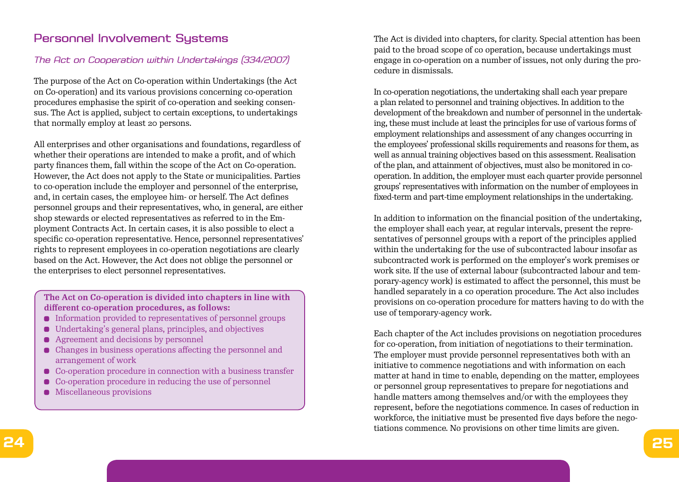## Personnel Involvement Systems

#### *The Act on Cooperation within Undertakings (334/2007)*

The purpose of the Act on Co-operation within Undertakings (the Act on Co-operation) and its various provisions concerning co-operation procedures emphasise the spirit of co-operation and seeking consensus. The Act is applied, subject to certain exceptions, to undertakings that normally employ at least 20 persons.

All enterprises and other organisations and foundations, regardless of whether their operations are intended to make a profit, and of which party finances them, fall within the scope of the Act on Co-operation. However, the Act does not apply to the State or municipalities. Parties to co-operation include the employer and personnel of the enterprise, and, in certain cases, the employee him- or herself. The Act defines personnel groups and their representatives, who, in general, are either shop stewards or elected representatives as referred to in the Employment Contracts Act. In certain cases, it is also possible to elect a specific co-operation representative. Hence, personnel representatives' rights to represent employees in co-operation negotiations are clearly based on the Act. However, the Act does not oblige the personnel or the enterprises to elect personnel representatives.

**The Act on Co-operation is divided into chapters in line with different co-operation procedures, as follows:** 

- Information provided to representatives of personnel groups
- Undertaking's general plans, principles, and objectives
- Agreement and decisions by personnel
- Changes in business operations affecting the personnel and arrangement of work
- Co-operation procedure in connection with a business transfer
- Co-operation procedure in reducing the use of personnel
- **•** Miscellaneous provisions

The Act is divided into chapters, for clarity. Special attention has been paid to the broad scope of co operation, because undertakings must engage in co-operation on a number of issues, not only during the procedure in dismissals.

In co-operation negotiations, the undertaking shall each year prepare a plan related to personnel and training objectives. In addition to the development of the breakdown and number of personnel in the undertaking, these must include at least the principles for use of various forms of employment relationships and assessment of any changes occurring in the employees' professional skills requirements and reasons for them, as well as annual training objectives based on this assessment. Realisation of the plan, and attainment of objectives, must also be monitored in cooperation. In addition, the employer must each quarter provide personnel groups' representatives with information on the number of employees in fixed-term and part-time employment relationships in the undertaking.

In addition to information on the financial position of the undertaking, the employer shall each year, at regular intervals, present the representatives of personnel groups with a report of the principles applied within the undertaking for the use of subcontracted labour insofar as subcontracted work is performed on the employer's work premises or work site. If the use of external labour (subcontracted labour and temporary-agency work) is estimated to affect the personnel, this must be handled separately in a co operation procedure. The Act also includes provisions on co-operation procedure for matters having to do with the use of temporary-agency work.

Each chapter of the Act includes provisions on negotiation procedures for co-operation, from initiation of negotiations to their termination. The employer must provide personnel representatives both with an initiative to commence negotiations and with information on each matter at hand in time to enable, depending on the matter, employees or personnel group representatives to prepare for negotiations and handle matters among themselves and/or with the employees they represent, before the negotiations commence. In cases of reduction in workforce, the initiative must be presented five days before the negotiations commence. No provisions on other time limits are given.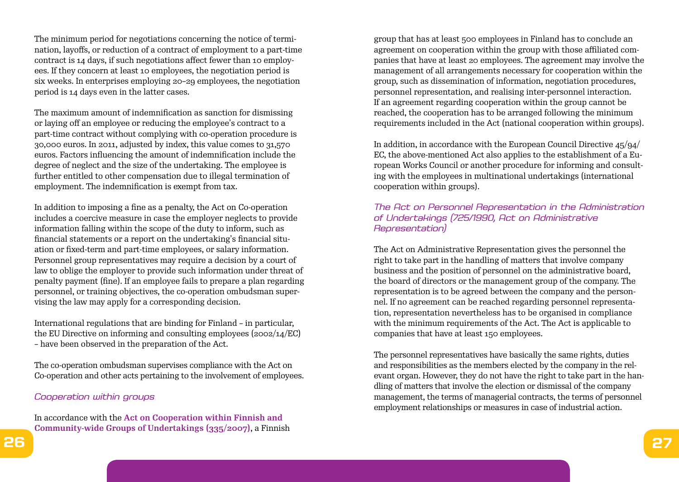The minimum period for negotiations concerning the notice of termination, layoffs, or reduction of a contract of employment to a part-time contract is 14 days, if such negotiations affect fewer than 10 employees. If they concern at least 10 employees, the negotiation period is six weeks. In enterprises employing 20–29 employees, the negotiation period is 14 days even in the latter cases.

The maximum amount of indemnification as sanction for dismissing or laying off an employee or reducing the employee's contract to a part-time contract without complying with co-operation procedure is 30,000 euros. In 2011, adjusted by index, this value comes to 31,570 euros. Factors influencing the amount of indemnification include the degree of neglect and the size of the undertaking. The employee is further entitled to other compensation due to illegal termination of employment. The indemnification is exempt from tax.

In addition to imposing a fine as a penalty, the Act on Co-operation includes a coercive measure in case the employer neglects to provide information falling within the scope of the duty to inform, such as financial statements or a report on the undertaking's financial situation or fixed-term and part-time employees, or salary information. Personnel group representatives may require a decision by a court of law to oblige the employer to provide such information under threat of penalty payment (fine). If an employee fails to prepare a plan regarding personnel, or training objectives, the co-operation ombudsman supervising the law may apply for a corresponding decision.

International regulations that are binding for Finland – in particular, the EU Directive on informing and consulting employees (2002/14/EC) – have been observed in the preparation of the Act.

The co-operation ombudsman supervises compliance with the Act on Co-operation and other acts pertaining to the involvement of employees.

#### *Cooperation within groups*

In accordance with the **Act on Cooperation within Finnish and Community-wide Groups of Undertakings (335/2007)**, a Finnish group that has at least 500 employees in Finland has to conclude an agreement on cooperation within the group with those affiliated companies that have at least 20 employees. The agreement may involve the management of all arrangements necessary for cooperation within the group, such as dissemination of information, negotiation procedures, personnel representation, and realising inter-personnel interaction. If an agreement regarding cooperation within the group cannot be reached, the cooperation has to be arranged following the minimum requirements included in the Act (national cooperation within groups).

In addition, in accordance with the European Council Directive 45/94/ EC, the above-mentioned Act also applies to the establishment of a European Works Council or another procedure for informing and consulting with the employees in multinational undertakings (international cooperation within groups).

#### *The Act on Personnel Representation in the Administration of Undertakings (725/1990, Act on Administrative Representation)*

The Act on Administrative Representation gives the personnel the right to take part in the handling of matters that involve company business and the position of personnel on the administrative board, the board of directors or the management group of the company. The representation is to be agreed between the company and the personnel. If no agreement can be reached regarding personnel representation, representation nevertheless has to be organised in compliance with the minimum requirements of the Act. The Act is applicable to companies that have at least 150 employees.

The personnel representatives have basically the same rights, duties and responsibilities as the members elected by the company in the relevant organ. However, they do not have the right to take part in the handling of matters that involve the election or dismissal of the company management, the terms of managerial contracts, the terms of personnel employment relationships or measures in case of industrial action.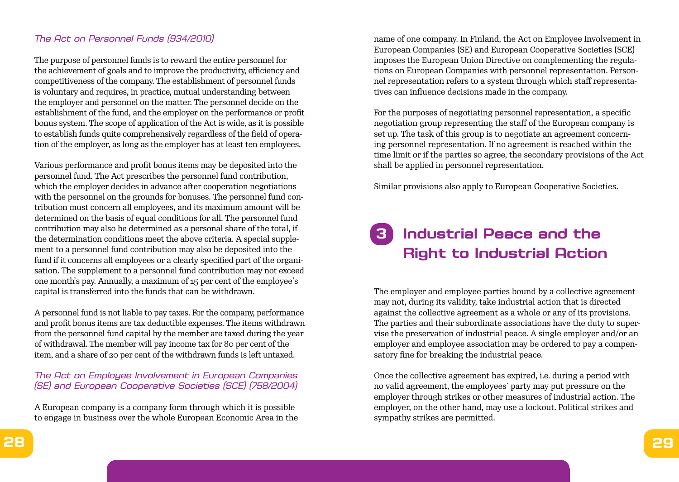#### *The Act on Personnel Funds (934/2010)*

The purpose of personnel funds is to reward the entire personnel for the achievement of goals and to improve the productivity, efficiency and competitiveness of the company. The establishment of personnel funds is voluntary and requires, in practice, mutual understanding between the employer and personnel on the matter. The personnel decide on the establishment of the fund, and the employer on the performance or profit bonus system. The scope of application of the Act is wide, as it is possible to establish funds quite comprehensively regardless of the field of operation of the employer, as long as the employer has at least ten employees.

Various performance and profit bonus items may be deposited into the personnel fund. The Act prescribes the personnel fund contribution, which the employer decides in advance after cooperation negotiations with the personnel on the grounds for bonuses. The personnel fund contribution must concern all employees, and its maximum amount will be determined on the basis of equal conditions for all. The personnel fund contribution may also be determined as a personal share of the total, if the determination conditions meet the above criteria. A special supplement to a personnel fund contribution may also be deposited into the fund if it concerns all employees or a clearly specified part of the organisation. The supplement to a personnel fund contribution may not exceed one month's pay. Annually, a maximum of 15 per cent of the employee's capital is transferred into the funds that can be withdrawn.

A personnel fund is not liable to pay taxes. For the company, performance and profit bonus items are tax deductible expenses. The items withdrawn from the personnel fund capital by the member are taxed during the year of withdrawal. The member will pay income tax for 80 per cent of the item, and a share of 20 per cent of the withdrawn funds is left untaxed.

#### *The Act on Employee Involvement in European Companies (SE) and European Cooperative Societies (SCE) (758/2004)*

A European company is a company form through which it is possible to engage in business over the whole European Economic Area in the name of one company. In Finland, the Act on Employee Involvement in European Companies (SE) and European Cooperative Societies (SCE) imposes the European Union Directive on complementing the regulations on European Companies with personnel representation. Personnel representation refers to a system through which staff representatives can influence decisions made in the company.

For the purposes of negotiating personnel representation, a specific negotiation group representing the staff of the European company is set up. The task of this group is to negotiate an agreement concerning personnel representation. If no agreement is reached within the time limit or if the parties so agree, the secondary provisions of the Act shall be applied in personnel representation.

Similar provisions also apply to European Cooperative Societies.

## **3 Industrial Peace and the Right to Industrial Action**

The employer and employee parties bound by a collective agreement may not, during its validity, take industrial action that is directed against the collective agreement as a whole or any of its provisions. The parties and their subordinate associations have the duty to supervise the preservation of industrial peace. A single employer and/or an employer and employee association may be ordered to pay a compensatory fine for breaking the industrial peace.

Once the collective agreement has expired, i.e. during a period with no valid agreement, the employees´ party may put pressure on the employer through strikes or other measures of industrial action. The employer, on the other hand, may use a lockout. Political strikes and sympathy strikes are permitted.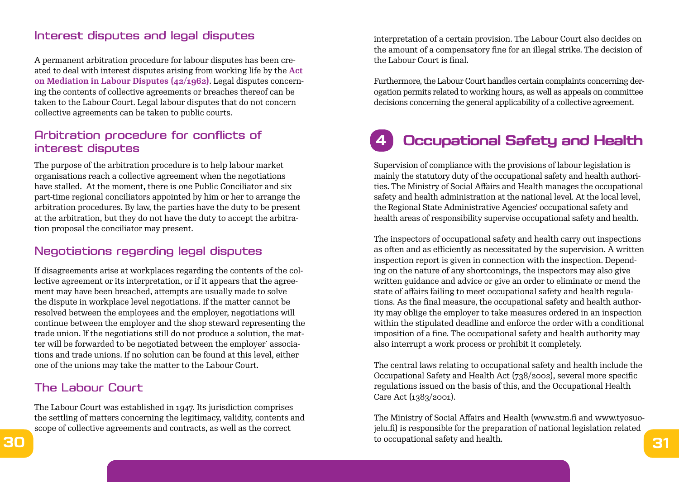### Interest disputes and legal disputes

A permanent arbitration procedure for labour disputes has been created to deal with interest disputes arising from working life by the **Act on Mediation in Labour Disputes (42/1962)**. Legal disputes concerning the contents of collective agreements or breaches thereof can be taken to the Labour Court. Legal labour disputes that do not concern collective agreements can be taken to public courts.

## Arbitration procedure for conflicts of interest disputes

The purpose of the arbitration procedure is to help labour market organisations reach a collective agreement when the negotiations have stalled. At the moment, there is one Public Conciliator and six part-time regional conciliators appointed by him or her to arrange the arbitration procedures. By law, the parties have the duty to be present at the arbitration, but they do not have the duty to accept the arbitration proposal the conciliator may present.

## Negotiations regarding legal disputes

If disagreements arise at workplaces regarding the contents of the collective agreement or its interpretation, or if it appears that the agreement may have been breached, attempts are usually made to solve the dispute in workplace level negotiations. If the matter cannot be resolved between the employees and the employer, negotiations will continue between the employer and the shop steward representing the trade union. If the negotiations still do not produce a solution, the matter will be forwarded to be negotiated between the employer´ associations and trade unions. If no solution can be found at this level, either one of the unions may take the matter to the Labour Court.

## The Labour Court

The Labour Court was established in 1947. Its jurisdiction comprises the settling of matters concerning the legitimacy, validity, contents and scope of collective agreements and contracts, as well as the correct

interpretation of a certain provision. The Labour Court also decides on the amount of a compensatory fine for an illegal strike. The decision of the Labour Court is final.

Furthermore, the Labour Court handles certain complaints concerning derogation permits related to working hours, as well as appeals on committee decisions concerning the general applicability of a collective agreement.

# **4 Occupational Safety and Health**

Supervision of compliance with the provisions of labour legislation is mainly the statutory duty of the occupational safety and health authorities. The Ministry of Social Affairs and Health manages the occupational safety and health administration at the national level. At the local level, the Regional State Administrative Agencies' occupational safety and health areas of responsibility supervise occupational safety and health.

The inspectors of occupational safety and health carry out inspections as often and as efficiently as necessitated by the supervision. A written inspection report is given in connection with the inspection. Depending on the nature of any shortcomings, the inspectors may also give written guidance and advice or give an order to eliminate or mend the state of affairs failing to meet occupational safety and health regulations. As the final measure, the occupational safety and health authority may oblige the employer to take measures ordered in an inspection within the stipulated deadline and enforce the order with a conditional imposition of a fine. The occupational safety and health authority may also interrupt a work process or prohibit it completely.

The central laws relating to occupational safety and health include the Occupational Safety and Health Act (738/2002), several more specific regulations issued on the basis of this, and the Occupational Health Care Act (1383/2001).

**30 b** occupational safety and health. **31** The Ministry of Social Affairs and Health (www.stm.fi and www.tyosuojelu.fi) is responsible for the preparation of national legislation related to occupational safety and health.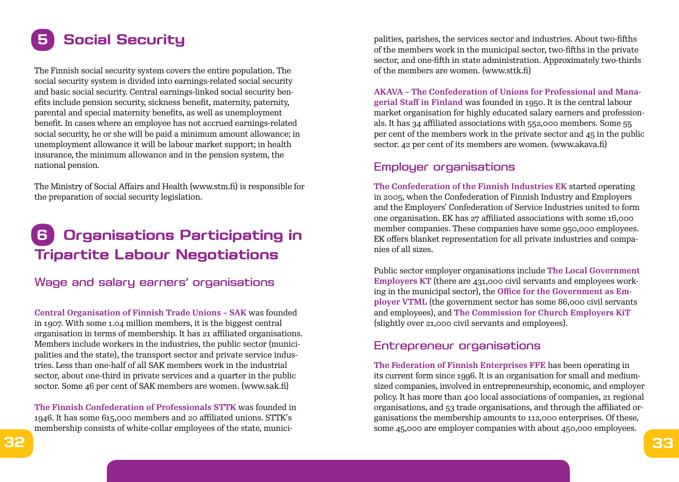# **5 Social Security**

The Finnish social security system covers the entire population. The social security system is divided into earnings-related social security and basic social security. Central earnings-linked social security benefits include pension security, sickness benefit, maternity, paternity, parental and special maternity benefits, as well as unemployment benefit. In cases where an employee has not accrued earnings-related social security, he or she will be paid a minimum amount allowance; in unemployment allowance it will be labour market support; in health insurance, the minimum allowance and in the pension system, the national pension.

The Ministry of Social Affairs and Health (www.stm.fi) is responsible for the preparation of social security legislation.

## **6 Organisations Participating in Tripartite Labour Negotiations**

Wage and salary earners' organisations

**Central Organisation of Finnish Trade Unions – SAK** was founded in 1907. With some 1.04 million members, it is the biggest central organisation in terms of membership. It has 21 affiliated organisations. Members include workers in the industries, the public sector (municipalities and the state), the transport sector and private service industries. Less than one-half of all SAK members work in the industrial sector, about one-third in private services and a quarter in the public sector. Some 46 per cent of SAK members are women. (www.sak.fi)

**The Finnish Confederation of Professionals STTK** was founded in 1946. It has some 615,000 members and 20 affiliated unions. STTK's membership consists of white-collar employees of the state, municipalities, parishes, the services sector and industries. About two-fifths of the members work in the municipal sector, two-fifths in the private sector, and one-fifth in state administration. Approximately two-thirds of the members are women. (www.sttk.fi)

**AKAVA – The Confederation of Unions for Professional and Managerial Staff in Finland** was founded in 1950. It is the central labour market organisation for highly educated salary earners and professionals. It has 34 affiliated associations with 552,000 members. Some 55 per cent of the members work in the private sector and  $45$  in the public sector. 42 per cent of its members are women. (www.akava.fi)

## Employer organisations

**The Confederation of the Finnish Industries EK** started operating in 2005, when the Confederation of Finnish Industry and Employers and the Employers' Confederation of Service Industries united to form one organisation. EK has 27 affiliated associations with some 16,000 member companies. These companies have some 950,000 employees. EK offers blanket representation for all private industries and companies of all sizes.

Public sector employer organisations include **The Local Government Employers KT** (there are 431,000 civil servants and employees working in the municipal sector), the **Office for the Government as Employer VTML** (the government sector has some 86,000 civil servants and employees), and **The Commission for Church Employers KiT**  (slightly over 21,000 civil servants and employees).

### Entrepreneur organisations

**The Federation of Finnish Enterprises FFE** has been operating in its current form since 1996. It is an organisation for small and mediumsized companies, involved in entrepreneurship, economic, and employer policy. It has more than 400 local associations of companies, 21 regional organisations, and 53 trade organisations, and through the affiliated organisations the membership amounts to 112,000 enterprises. Of these, some 45,000 are employer companies with about 450,000 employees.